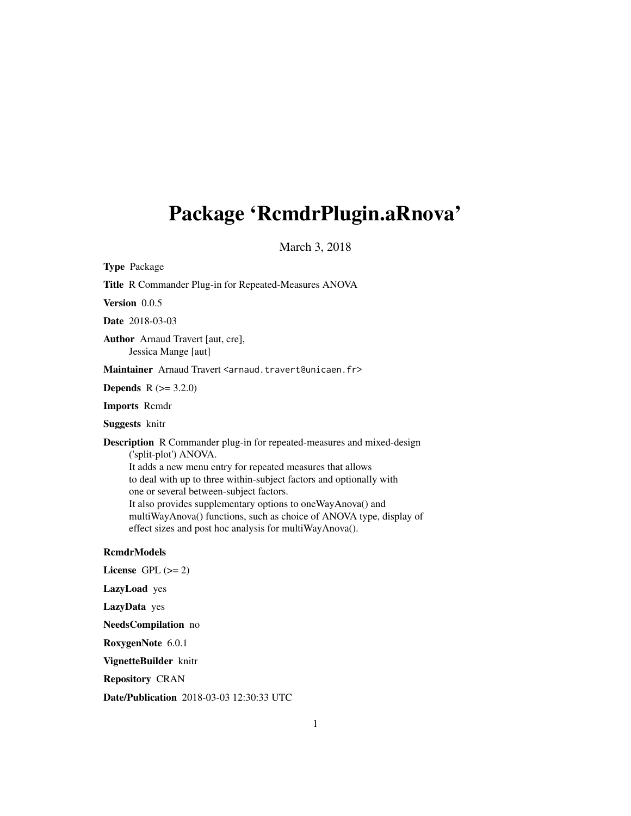## <span id="page-0-0"></span>Package 'RcmdrPlugin.aRnova'

March 3, 2018

Type Package

Title R Commander Plug-in for Repeated-Measures ANOVA

Version 0.0.5

Date 2018-03-03

Author Arnaud Travert [aut, cre], Jessica Mange [aut]

Maintainer Arnaud Travert <arnaud.travert@unicaen.fr>

**Depends**  $R (= 3.2.0)$ 

Imports Rcmdr

Suggests knitr

Description R Commander plug-in for repeated-measures and mixed-design ('split-plot') ANOVA. It adds a new menu entry for repeated measures that allows to deal with up to three within-subject factors and optionally with one or several between-subject factors. It also provides supplementary options to oneWayAnova() and multiWayAnova() functions, such as choice of ANOVA type, display of effect sizes and post hoc analysis for multiWayAnova().

#### RcmdrModels

License GPL  $(>= 2)$ LazyLoad yes LazyData yes

NeedsCompilation no

RoxygenNote 6.0.1

VignetteBuilder knitr

Repository CRAN

Date/Publication 2018-03-03 12:30:33 UTC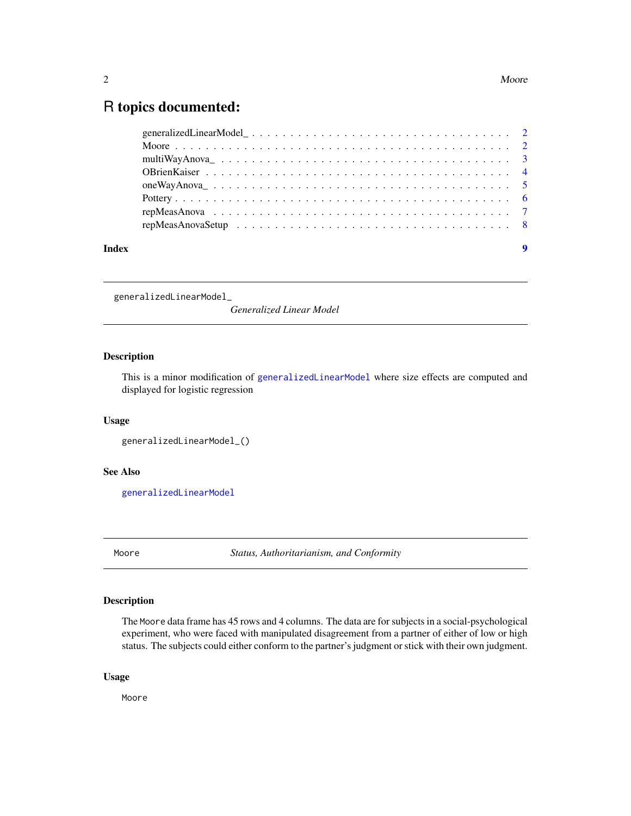### <span id="page-1-0"></span>R topics documented:

generalizedLinearModel\_

*Generalized Linear Model*

#### Description

This is a minor modification of [generalizedLinearModel](#page-0-0) where size effects are computed and displayed for logistic regression

#### Usage

```
generalizedLinearModel_()
```
#### See Also

[generalizedLinearModel](#page-0-0)

Moore *Status, Authoritarianism, and Conformity*

#### Description

The Moore data frame has 45 rows and 4 columns. The data are for subjects in a social-psychological experiment, who were faced with manipulated disagreement from a partner of either of low or high status. The subjects could either conform to the partner's judgment or stick with their own judgment.

#### Usage

Moore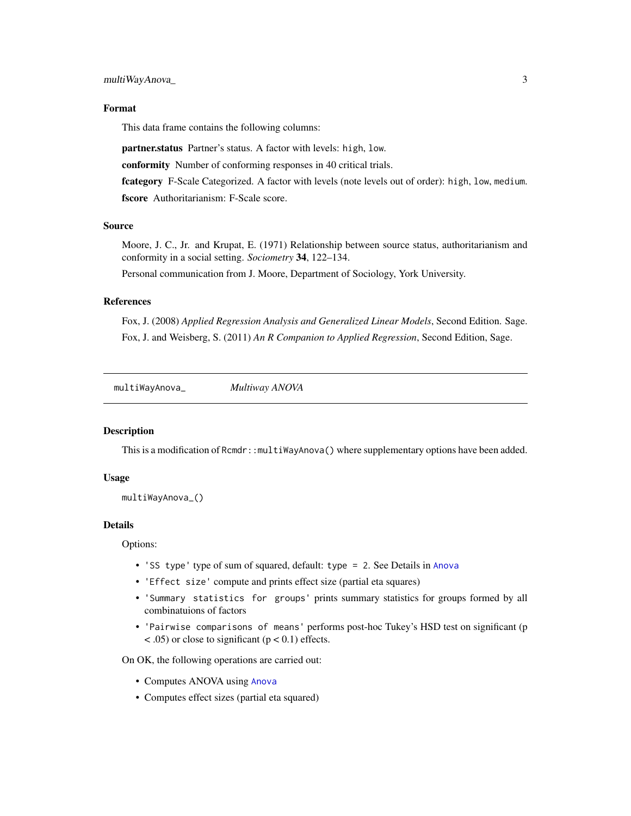#### <span id="page-2-0"></span>multiWayAnova\_ 3

#### Format

This data frame contains the following columns:

partner.status Partner's status. A factor with levels: high, low.

conformity Number of conforming responses in 40 critical trials.

fcategory F-Scale Categorized. A factor with levels (note levels out of order): high, low, medium. fscore Authoritarianism: F-Scale score.

#### Source

Moore, J. C., Jr. and Krupat, E. (1971) Relationship between source status, authoritarianism and conformity in a social setting. *Sociometry* 34, 122–134.

Personal communication from J. Moore, Department of Sociology, York University.

#### References

Fox, J. (2008) *Applied Regression Analysis and Generalized Linear Models*, Second Edition. Sage. Fox, J. and Weisberg, S. (2011) *An R Companion to Applied Regression*, Second Edition, Sage.

multiWayAnova\_ *Multiway ANOVA*

#### Description

This is a modification of Rcmdr::multiWayAnova() where supplementary options have been added.

#### Usage

```
multiWayAnova_()
```
#### Details

Options:

- 'SS type' type of sum of squared, default: type = 2. See Details in [Anova](#page-0-0)
- 'Effect size' compute and prints effect size (partial eta squares)
- 'Summary statistics for groups' prints summary statistics for groups formed by all combinatuions of factors
- 'Pairwise comparisons of means' performs post-hoc Tukey's HSD test on significant (p  $<$  .05) or close to significant ( $p$  < 0.1) effects.

On OK, the following operations are carried out:

- Computes ANOVA using [Anova](#page-0-0)
- Computes effect sizes (partial eta squared)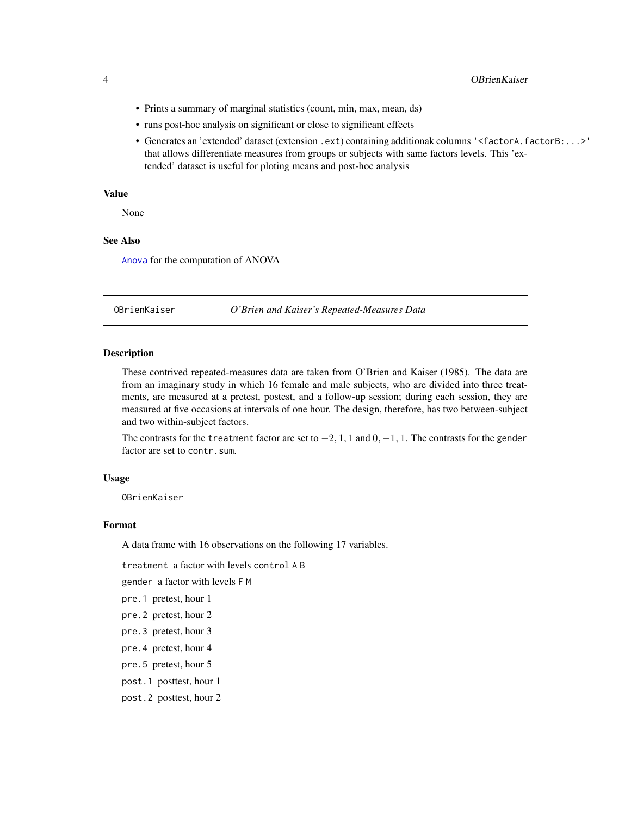- <span id="page-3-0"></span>• Prints a summary of marginal statistics (count, min, max, mean, ds)
- runs post-hoc analysis on significant or close to significant effects
- Generates an 'extended' dataset (extension .ext) containing additionak columns '<factorA.factorB:...>' that allows differentiate measures from groups or subjects with same factors levels. This 'extended' dataset is useful for ploting means and post-hoc analysis

#### Value

None

#### See Also

[Anova](#page-0-0) for the computation of ANOVA

OBrienKaiser *O'Brien and Kaiser's Repeated-Measures Data*

#### Description

These contrived repeated-measures data are taken from O'Brien and Kaiser (1985). The data are from an imaginary study in which 16 female and male subjects, who are divided into three treatments, are measured at a pretest, postest, and a follow-up session; during each session, they are measured at five occasions at intervals of one hour. The design, therefore, has two between-subject and two within-subject factors.

The contrasts for the treatment factor are set to  $-2$ , 1, 1 and  $0, -1, 1$ . The contrasts for the gender factor are set to contr.sum.

#### Usage

OBrienKaiser

#### Format

A data frame with 16 observations on the following 17 variables.

treatment a factor with levels control A B

gender a factor with levels F M

pre.1 pretest, hour 1

- pre.2 pretest, hour 2
- pre.3 pretest, hour 3
- pre.4 pretest, hour 4
- pre.5 pretest, hour 5

post.1 posttest, hour 1

post.2 posttest, hour 2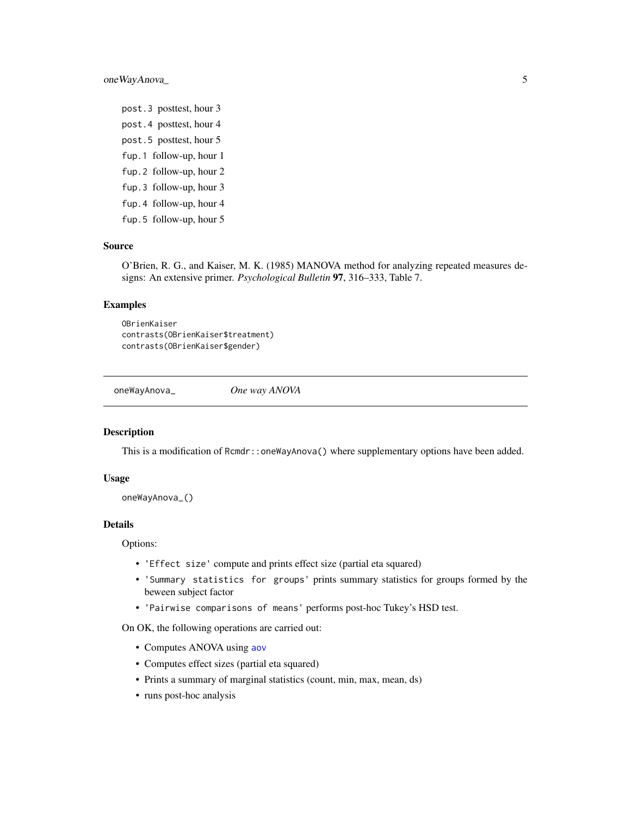<span id="page-4-0"></span>oneWayAnova\_ 5

post.3 posttest, hour 3 post.4 posttest, hour 4 post.5 posttest, hour 5 fup.1 follow-up, hour 1 fup.2 follow-up, hour 2 fup.3 follow-up, hour 3 fup.4 follow-up, hour 4 fup.5 follow-up, hour 5

#### Source

O'Brien, R. G., and Kaiser, M. K. (1985) MANOVA method for analyzing repeated measures designs: An extensive primer. *Psychological Bulletin* 97, 316–333, Table 7.

#### Examples

```
OBrienKaiser
contrasts(OBrienKaiser$treatment)
contrasts(OBrienKaiser$gender)
```
oneWayAnova\_ *One way ANOVA*

#### Description

This is a modification of Rcmdr::oneWayAnova() where supplementary options have been added.

#### Usage

```
oneWayAnova_()
```
#### Details

Options:

- 'Effect size' compute and prints effect size (partial eta squared)
- 'Summary statistics for groups' prints summary statistics for groups formed by the beween subject factor
- 'Pairwise comparisons of means' performs post-hoc Tukey's HSD test.

On OK, the following operations are carried out:

- Computes ANOVA using [aov](#page-0-0)
- Computes effect sizes (partial eta squared)
- Prints a summary of marginal statistics (count, min, max, mean, ds)
- runs post-hoc analysis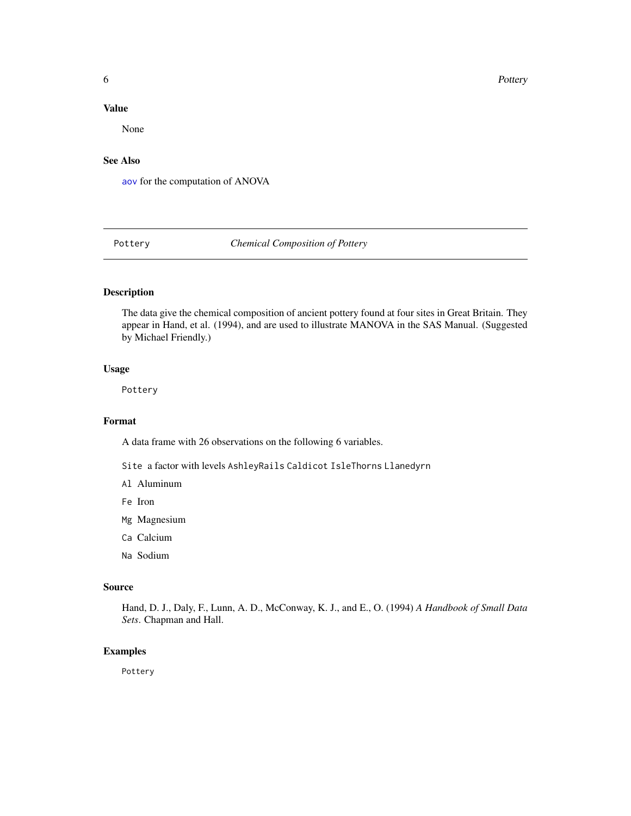<span id="page-5-0"></span>**6** Pottery

#### Value

None

#### See Also

[aov](#page-0-0) for the computation of ANOVA

Pottery *Chemical Composition of Pottery*

#### Description

The data give the chemical composition of ancient pottery found at four sites in Great Britain. They appear in Hand, et al. (1994), and are used to illustrate MANOVA in the SAS Manual. (Suggested by Michael Friendly.)

#### Usage

Pottery

#### Format

A data frame with 26 observations on the following 6 variables.

Site a factor with levels AshleyRails Caldicot IsleThorns Llanedyrn

- Al Aluminum
- Fe Iron
- Mg Magnesium
- Ca Calcium
- Na Sodium

#### Source

Hand, D. J., Daly, F., Lunn, A. D., McConway, K. J., and E., O. (1994) *A Handbook of Small Data Sets*. Chapman and Hall.

#### Examples

Pottery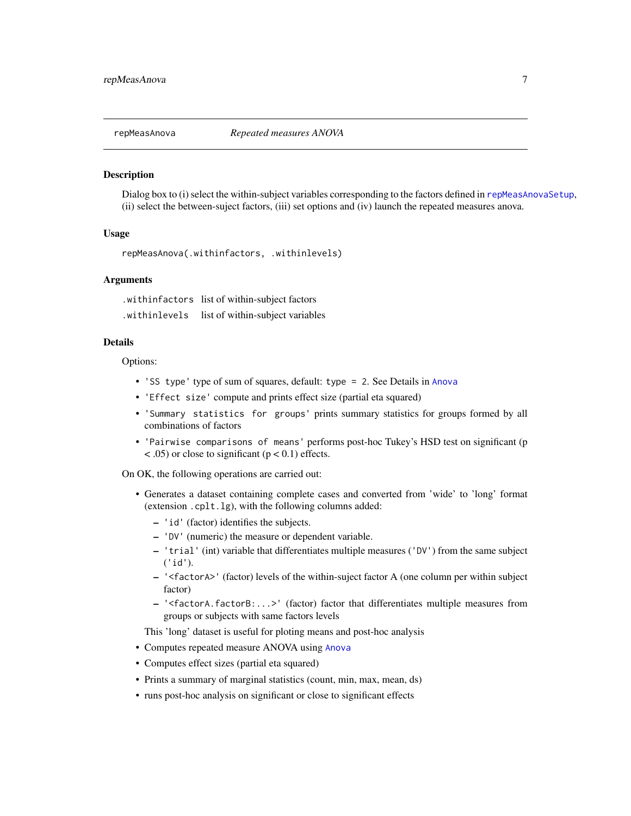<span id="page-6-1"></span><span id="page-6-0"></span>

#### **Description**

Dialog box to (i) select the within-subject variables corresponding to the factors defined in [repMeasAnovaSetup](#page-7-1), (ii) select the between-suject factors, (iii) set options and (iv) launch the repeated measures anova.

#### Usage

```
repMeasAnova(.withinfactors, .withinlevels)
```
#### Arguments

.withinfactors list of within-subject factors .withinlevels list of within-subject variables

#### Details

Options:

- 'SS type' type of sum of squares, default: type = 2. See Details in [Anova](#page-0-0)
- 'Effect size' compute and prints effect size (partial eta squared)
- 'Summary statistics for groups' prints summary statistics for groups formed by all combinations of factors
- 'Pairwise comparisons of means' performs post-hoc Tukey's HSD test on significant (p  $\lt$  .05) or close to significant ( $p \lt 0.1$ ) effects.

On OK, the following operations are carried out:

- Generates a dataset containing complete cases and converted from 'wide' to 'long' format (extension .cplt.lg), with the following columns added:
	- 'id' (factor) identifies the subjects.
	- 'DV' (numeric) the measure or dependent variable.
	- 'trial' (int) variable that differentiates multiple measures ('DV') from the same subject ('id').
	- '<factorA>' (factor) levels of the within-suject factor A (one column per within subject factor)
	- '<factorA.factorB:...>' (factor) factor that differentiates multiple measures from groups or subjects with same factors levels

This 'long' dataset is useful for ploting means and post-hoc analysis

- Computes repeated measure ANOVA using [Anova](#page-0-0)
- Computes effect sizes (partial eta squared)
- Prints a summary of marginal statistics (count, min, max, mean, ds)
- runs post-hoc analysis on significant or close to significant effects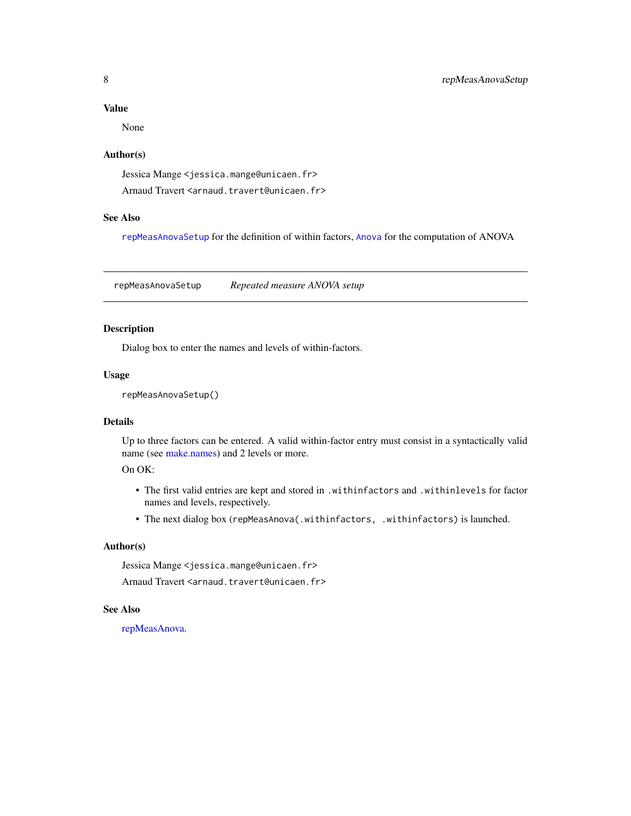#### <span id="page-7-0"></span>Value

None

#### Author(s)

Jessica Mange <jessica.mange@unicaen.fr> Arnaud Travert <arnaud.travert@unicaen.fr>

#### See Also

[repMeasAnovaSetup](#page-7-1) for the definition of within factors, [Anova](#page-0-0) for the computation of ANOVA

<span id="page-7-1"></span>repMeasAnovaSetup *Repeated measure ANOVA setup*

#### Description

Dialog box to enter the names and levels of within-factors.

#### Usage

repMeasAnovaSetup()

#### Details

Up to three factors can be entered. A valid within-factor entry must consist in a syntactically valid name (see [make.names\)](#page-0-0) and 2 levels or more.

#### On OK:

- The first valid entries are kept and stored in .withinfactors and .withinlevels for factor names and levels, respectively.
- The next dialog box (repMeasAnova(.withinfactors, .withinfactors) is launched.

#### Author(s)

Jessica Mange <jessica.mange@unicaen.fr>

Arnaud Travert <arnaud.travert@unicaen.fr>

#### See Also

#### [repMeasAnova.](#page-6-1)